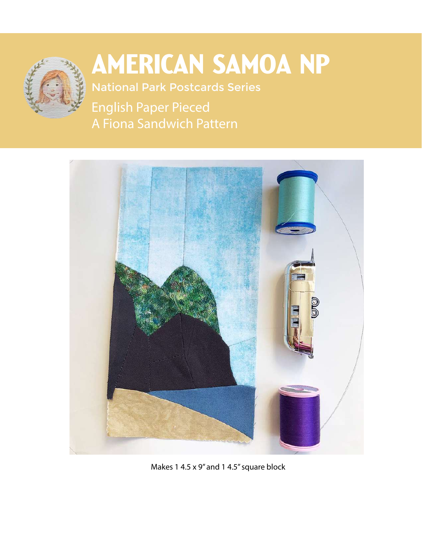

## American Samoa NP

National Park Postcards Series

English Paper Pieced A Fiona Sandwich Pattern



Makes 1 4.5 x 9" and 1 4.5" square block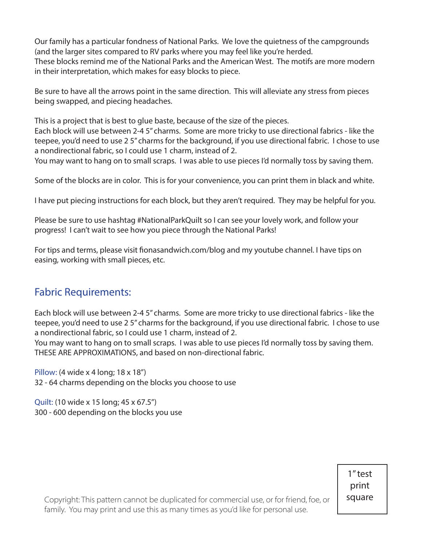Our family has a particular fondness of National Parks. We love the quietness of the campgrounds (and the larger sites compared to RV parks where you may feel like you're herded. These blocks remind me of the National Parks and the American West. The motifs are more modern in their interpretation, which makes for easy blocks to piece.

Be sure to have all the arrows point in the same direction. This will alleviate any stress from pieces being swapped, and piecing headaches.

This is a project that is best to glue baste, because of the size of the pieces.

Each block will use between 2-4 5" charms. Some are more tricky to use directional fabrics - like the teepee, you'd need to use 2 5" charms for the background, if you use directional fabric. I chose to use a nondirectional fabric, so I could use 1 charm, instead of 2.

You may want to hang on to small scraps. I was able to use pieces I'd normally toss by saving them.

Some of the blocks are in color. This is for your convenience, you can print them in black and white.

I have put piecing instructions for each block, but they aren't required. They may be helpful for you.

Please be sure to use hashtag #NationalParkQuilt so I can see your lovely work, and follow your progress! I can't wait to see how you piece through the National Parks!

For tips and terms, please visit fionasandwich.com/blog and my youtube channel. I have tips on easing, working with small pieces, etc.

## Fabric Requirements:

Each block will use between 2-4 5" charms. Some are more tricky to use directional fabrics - like the teepee, you'd need to use 2 5" charms for the background, if you use directional fabric. I chose to use a nondirectional fabric, so I could use 1 charm, instead of 2.

You may want to hang on to small scraps. I was able to use pieces I'd normally toss by saving them. THESE ARE APPROXIMATIONS, and based on non-directional fabric.

Pillow: (4 wide x 4 long; 18 x 18") 32 - 64 charms depending on the blocks you choose to use

Quilt: (10 wide x 15 long; 45 x 67.5") 300 - 600 depending on the blocks you use

> 1" test print square

Copyright: This pattern cannot be duplicated for commercial use, or for friend, f  $\mathfrak{f}$ amily. You may print and use this as many times as you'd like for personal use.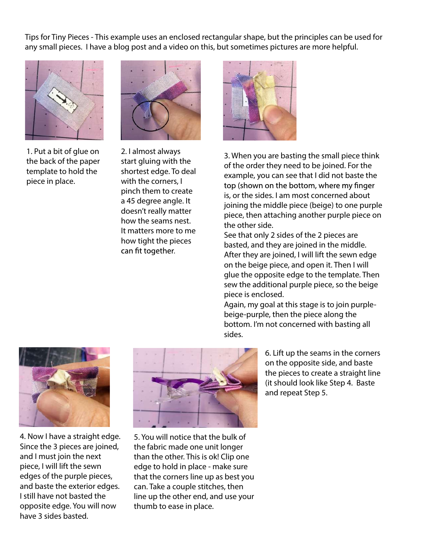Tips for Tiny Pieces - This example uses an enclosed rectangular shape, but the principles can be used for any small pieces. I have a blog post and a video on this, but sometimes pictures are more helpful.



1. Put a bit of glue on the back of the paper template to hold the piece in place.



2. I almost always start gluing with the shortest edge. To deal with the corners, I pinch them to create a 45 degree angle. It doesn't really matter how the seams nest. It matters more to me how tight the pieces can fit together.



3. When you are basting the small piece think of the order they need to be joined. For the example, you can see that I did not baste the top (shown on the bottom, where my finger is, or the sides. I am most concerned about joining the middle piece (beige) to one purple piece, then attaching another purple piece on the other side.

See that only 2 sides of the 2 pieces are basted, and they are joined in the middle. After they are joined, I will lift the sewn edge on the beige piece, and open it. Then I will glue the opposite edge to the template. Then sew the additional purple piece, so the beige piece is enclosed.

Again, my goal at this stage is to join purplebeige-purple, then the piece along the bottom. I'm not concerned with basting all sides.



4. Now I have a straight edge. Since the 3 pieces are joined, and I must join the next piece, I will lift the sewn edges of the purple pieces, and baste the exterior edges. I still have not basted the opposite edge. You will now have 3 sides basted.



5. You will notice that the bulk of the fabric made one unit longer than the other. This is ok! Clip one edge to hold in place - make sure that the corners line up as best you can. Take a couple stitches, then line up the other end, and use your thumb to ease in place.

6. Lift up the seams in the corners on the opposite side, and baste the pieces to create a straight line (it should look like Step 4. Baste and repeat Step 5.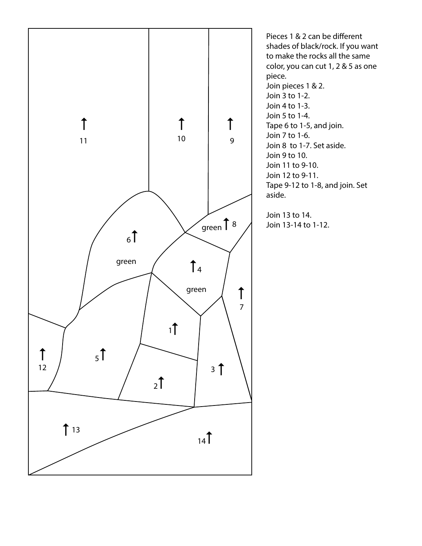

Pieces 1 & 2 can be different shades of black/rock. If you want to make the rocks all the same color, you can cut 1, 2 & 5 as one piece. Join pieces 1 & 2. Join 3 to 1-2. Join 4 to 1-3. Join 5 to 1-4. Tape 6 to 1-5, and join. Join 7 to 1-6. Join 8 to 1-7. Set aside. Join 9 to 10. Join 11 to 9-10. Join 12 to 9-11. Tape 9-12 to 1-8, and join. Set aside.

Join 13 to 14. Join 13-14 to 1-12.